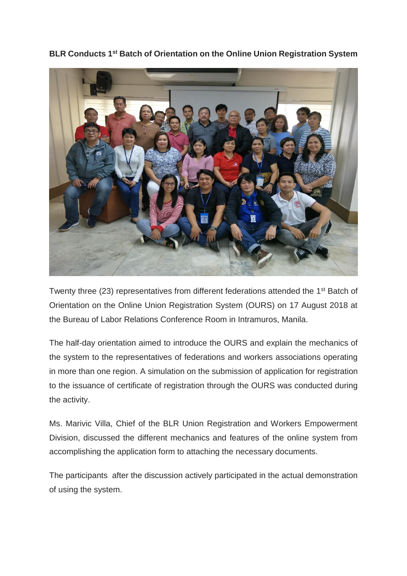**BLR Conducts 1st Batch of Orientation on the Online Union Registration System**



Twenty three (23) representatives from different federations attended the 1<sup>st</sup> Batch of Orientation on the Online Union Registration System (OURS) on 17 August 2018 at the Bureau of Labor Relations Conference Room in Intramuros, Manila.

The half-day orientation aimed to introduce the OURS and explain the mechanics of the system to the representatives of federations and workers associations operating in more than one region. A simulation on the submission of application for registration to the issuance of certificate of registration through the OURS was conducted during the activity.

Ms. Marivic Villa, Chief of the BLR Union Registration and Workers Empowerment Division, discussed the different mechanics and features of the online system from accomplishing the application form to attaching the necessary documents.

The participants after the discussion actively participated in the actual demonstration of using the system.